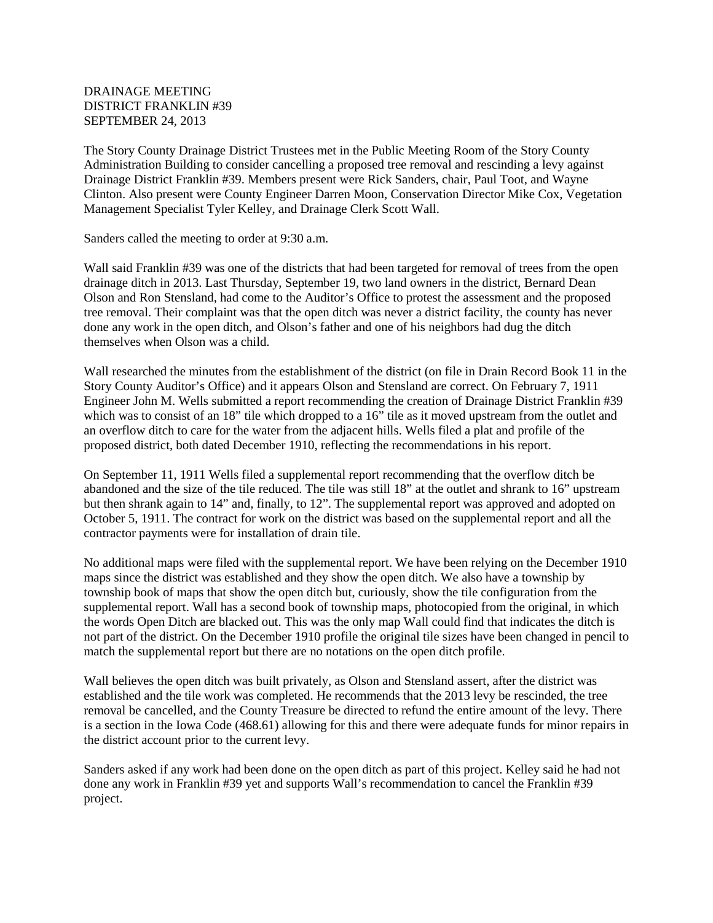## DRAINAGE MEETING DISTRICT FRANKLIN #39 SEPTEMBER 24, 2013

The Story County Drainage District Trustees met in the Public Meeting Room of the Story County Administration Building to consider cancelling a proposed tree removal and rescinding a levy against Drainage District Franklin #39. Members present were Rick Sanders, chair, Paul Toot, and Wayne Clinton. Also present were County Engineer Darren Moon, Conservation Director Mike Cox, Vegetation Management Specialist Tyler Kelley, and Drainage Clerk Scott Wall.

Sanders called the meeting to order at 9:30 a.m.

Wall said Franklin #39 was one of the districts that had been targeted for removal of trees from the open drainage ditch in 2013. Last Thursday, September 19, two land owners in the district, Bernard Dean Olson and Ron Stensland, had come to the Auditor's Office to protest the assessment and the proposed tree removal. Their complaint was that the open ditch was never a district facility, the county has never done any work in the open ditch, and Olson's father and one of his neighbors had dug the ditch themselves when Olson was a child.

Wall researched the minutes from the establishment of the district (on file in Drain Record Book 11 in the Story County Auditor's Office) and it appears Olson and Stensland are correct. On February 7, 1911 Engineer John M. Wells submitted a report recommending the creation of Drainage District Franklin #39 which was to consist of an 18" tile which dropped to a 16" tile as it moved upstream from the outlet and an overflow ditch to care for the water from the adjacent hills. Wells filed a plat and profile of the proposed district, both dated December 1910, reflecting the recommendations in his report.

On September 11, 1911 Wells filed a supplemental report recommending that the overflow ditch be abandoned and the size of the tile reduced. The tile was still 18" at the outlet and shrank to 16" upstream but then shrank again to 14" and, finally, to 12". The supplemental report was approved and adopted on October 5, 1911. The contract for work on the district was based on the supplemental report and all the contractor payments were for installation of drain tile.

No additional maps were filed with the supplemental report. We have been relying on the December 1910 maps since the district was established and they show the open ditch. We also have a township by township book of maps that show the open ditch but, curiously, show the tile configuration from the supplemental report. Wall has a second book of township maps, photocopied from the original, in which the words Open Ditch are blacked out. This was the only map Wall could find that indicates the ditch is not part of the district. On the December 1910 profile the original tile sizes have been changed in pencil to match the supplemental report but there are no notations on the open ditch profile.

Wall believes the open ditch was built privately, as Olson and Stensland assert, after the district was established and the tile work was completed. He recommends that the 2013 levy be rescinded, the tree removal be cancelled, and the County Treasure be directed to refund the entire amount of the levy. There is a section in the Iowa Code (468.61) allowing for this and there were adequate funds for minor repairs in the district account prior to the current levy.

Sanders asked if any work had been done on the open ditch as part of this project. Kelley said he had not done any work in Franklin #39 yet and supports Wall's recommendation to cancel the Franklin #39 project.